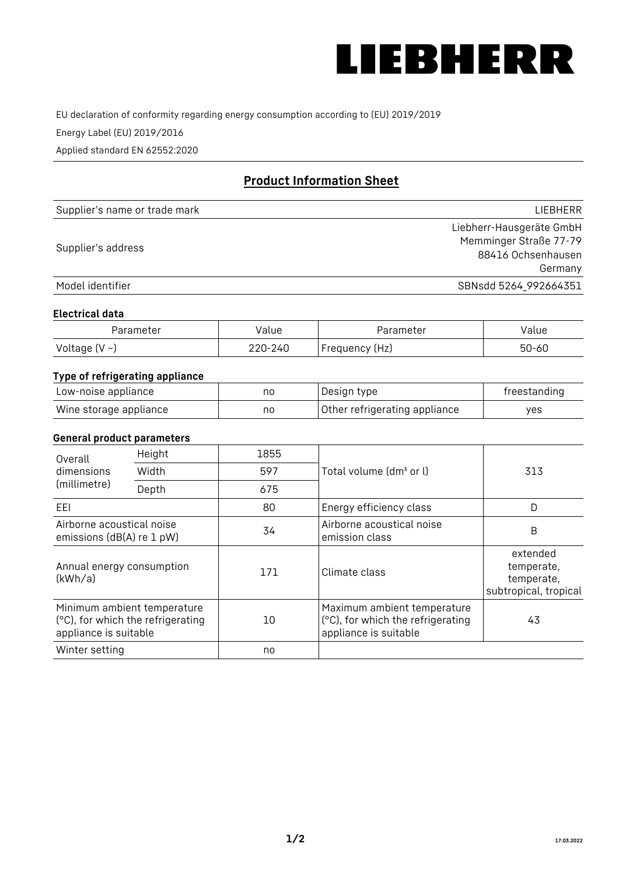

EU declaration of conformity regarding energy consumption according to (EU) 2019/2019

Energy Label (EU) 2019/2016

Applied standard EN 62552:2020

# **Product Information Sheet**

| Supplier's name or trade mark | LIEBHERR                 |
|-------------------------------|--------------------------|
|                               | Liebherr-Hausgeräte GmbH |
| Supplier's address            | Memminger Straße 77-79   |
|                               | 88416 Ochsenhausen       |
|                               | Germany                  |
| Model identifier              | SBNsdd 5264_992664351    |

#### **Electrical data**

| Parameter          | Value   | Parameter      | alue  |
|--------------------|---------|----------------|-------|
| Voltage $(V \sim)$ | 220-240 | Frequency (Hz) | 50-60 |

## **Type of refrigerating appliance**

| Low-noise appliance    | nc | Design type                   | freestanding |
|------------------------|----|-------------------------------|--------------|
| Wine storage appliance | nc | Other refrigerating appliance | yes          |

#### **General product parameters**

| Height<br>Overall                                      |                                                                  | 1855 |                                                                                           |                                                               |
|--------------------------------------------------------|------------------------------------------------------------------|------|-------------------------------------------------------------------------------------------|---------------------------------------------------------------|
| dimensions<br>(millimetre)                             | Width                                                            | 597  | Total volume (dm <sup>3</sup> or l)                                                       | 313                                                           |
|                                                        | Depth                                                            | 675  |                                                                                           |                                                               |
| EEL                                                    |                                                                  | 80   | Energy efficiency class                                                                   | D                                                             |
| Airborne acoustical noise<br>emissions (dB(A) re 1 pW) |                                                                  | 34   | Airborne acoustical noise<br>emission class                                               | B                                                             |
| Annual energy consumption<br>(kWh/a)                   |                                                                  | 171  | Climate class                                                                             | extended<br>temperate,<br>temperate,<br>subtropical, tropical |
| appliance is suitable                                  | Minimum ambient temperature<br>(°C), for which the refrigerating | 10   | Maximum ambient temperature<br>(°C), for which the refrigerating<br>appliance is suitable | 43                                                            |
| Winter setting                                         |                                                                  | no   |                                                                                           |                                                               |